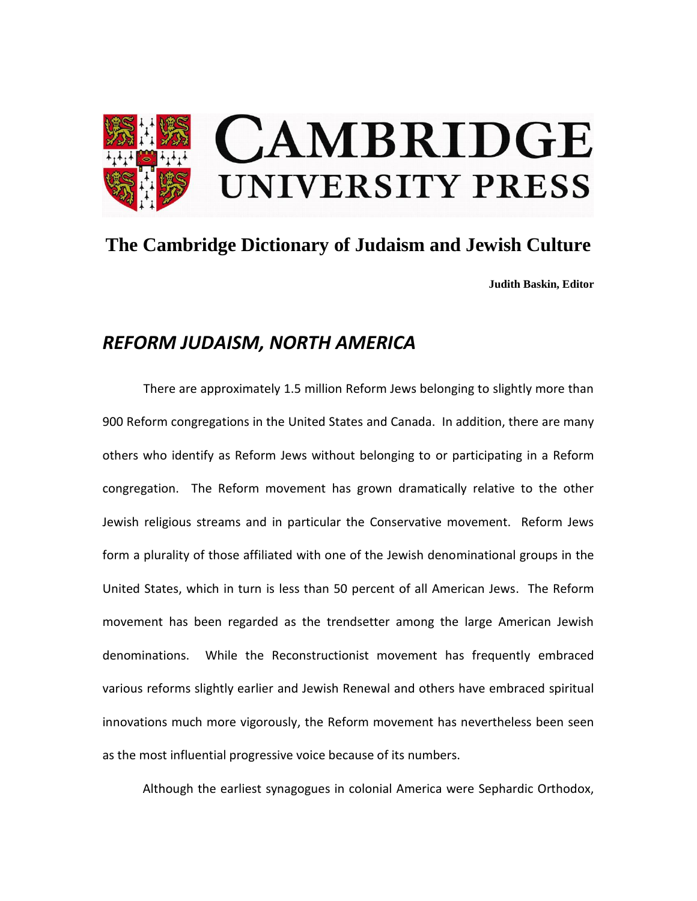

## **The Cambridge Dictionary of Judaism and Jewish Culture**

**Judith Baskin, Editor**

## *REFORM JUDAISM, NORTH AMERICA*

There are approximately 1.5 million Reform Jews belonging to slightly more than 900 Reform congregations in the United States and Canada. In addition, there are many others who identify as Reform Jews without belonging to or participating in a Reform congregation. The Reform movement has grown dramatically relative to the other Jewish religious streams and in particular the Conservative movement. Reform Jews form a plurality of those affiliated with one of the Jewish denominational groups in the United States, which in turn is less than 50 percent of all American Jews. The Reform movement has been regarded as the trendsetter among the large American Jewish denominations. While the Reconstructionist movement has frequently embraced various reforms slightly earlier and Jewish Renewal and others have embraced spiritual innovations much more vigorously, the Reform movement has nevertheless been seen as the most influential progressive voice because of its numbers.

Although the earliest synagogues in colonial America were Sephardic Orthodox,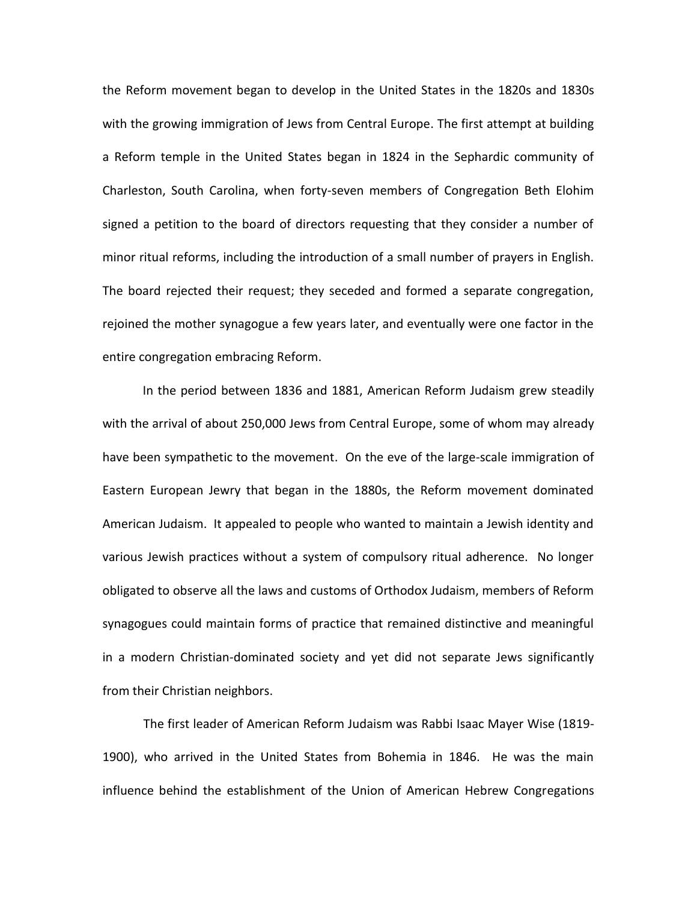the Reform movement began to develop in the United States in the 1820s and 1830s with the growing immigration of Jews from Central Europe. The first attempt at building a Reform temple in the United States began in 1824 in the Sephardic community of Charleston, South Carolina, when forty-seven members of Congregation Beth Elohim signed a petition to the board of directors requesting that they consider a number of minor ritual reforms, including the introduction of a small number of prayers in English. The board rejected their request; they seceded and formed a separate congregation, rejoined the mother synagogue a few years later, and eventually were one factor in the entire congregation embracing Reform.

In the period between 1836 and 1881, American Reform Judaism grew steadily with the arrival of about 250,000 Jews from Central Europe, some of whom may already have been sympathetic to the movement. On the eve of the large-scale immigration of Eastern European Jewry that began in the 1880s, the Reform movement dominated American Judaism. It appealed to people who wanted to maintain a Jewish identity and various Jewish practices without a system of compulsory ritual adherence. No longer obligated to observe all the laws and customs of Orthodox Judaism, members of Reform synagogues could maintain forms of practice that remained distinctive and meaningful in a modern Christian-dominated society and yet did not separate Jews significantly from their Christian neighbors.

The first leader of American Reform Judaism was Rabbi Isaac Mayer Wise (1819- 1900), who arrived in the United States from Bohemia in 1846. He was the main influence behind the establishment of the Union of American Hebrew Congregations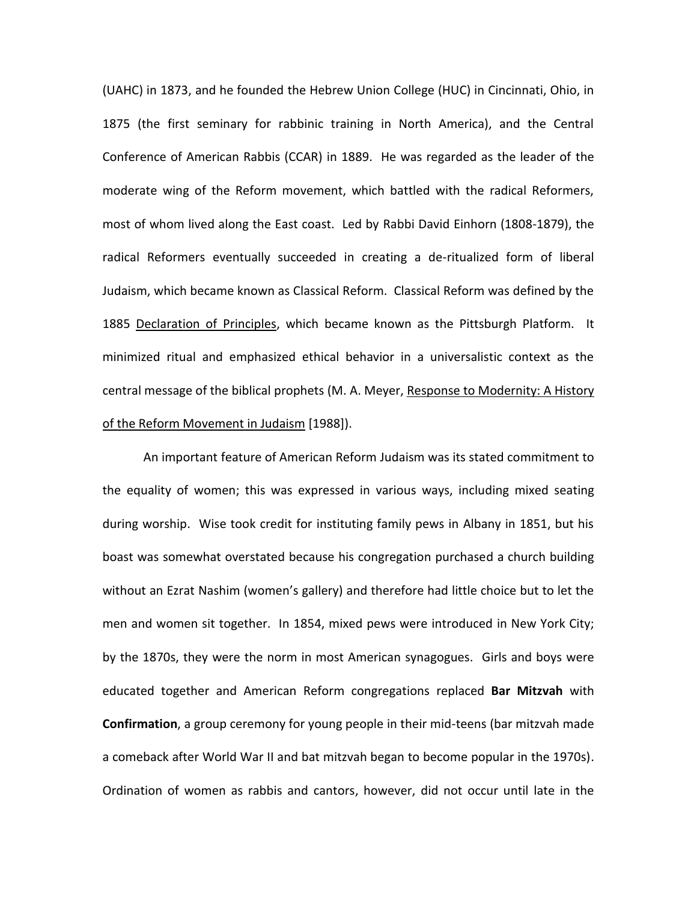(UAHC) in 1873, and he founded the Hebrew Union College (HUC) in Cincinnati, Ohio, in 1875 (the first seminary for rabbinic training in North America), and the Central Conference of American Rabbis (CCAR) in 1889. He was regarded as the leader of the moderate wing of the Reform movement, which battled with the radical Reformers, most of whom lived along the East coast. Led by Rabbi David Einhorn (1808-1879), the radical Reformers eventually succeeded in creating a de-ritualized form of liberal Judaism, which became known as Classical Reform. Classical Reform was defined by the 1885 Declaration of Principles, which became known as the Pittsburgh Platform. It minimized ritual and emphasized ethical behavior in a universalistic context as the central message of the biblical prophets (M. A. Meyer, Response to Modernity: A History of the Reform Movement in Judaism [1988]).

An important feature of American Reform Judaism was its stated commitment to the equality of women; this was expressed in various ways, including mixed seating during worship. Wise took credit for instituting family pews in Albany in 1851, but his boast was somewhat overstated because his congregation purchased a church building without an Ezrat Nashim (women's gallery) and therefore had little choice but to let the men and women sit together. In 1854, mixed pews were introduced in New York City; by the 1870s, they were the norm in most American synagogues. Girls and boys were educated together and American Reform congregations replaced **Bar Mitzvah** with **Confirmation**, a group ceremony for young people in their mid-teens (bar mitzvah made a comeback after World War II and bat mitzvah began to become popular in the 1970s). Ordination of women as rabbis and cantors, however, did not occur until late in the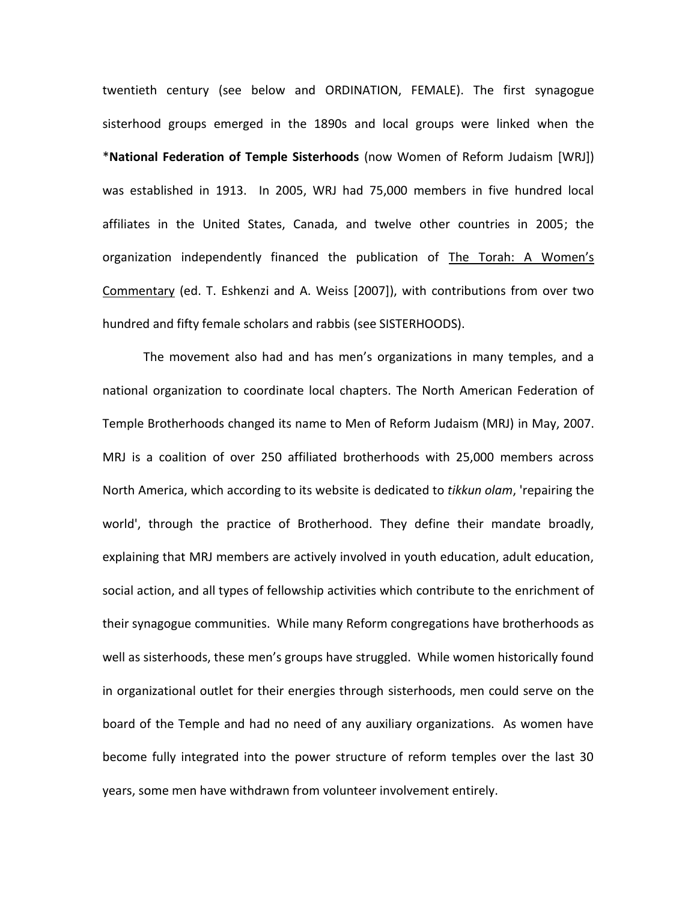twentieth century (see below and ORDINATION, FEMALE). The first synagogue sisterhood groups emerged in the 1890s and local groups were linked when the \***National Federation of Temple Sisterhoods** (now Women of Reform Judaism [WRJ]) was established in 1913. In 2005, WRJ had 75,000 members in five hundred local affiliates in the United States, Canada, and twelve other countries in 2005; the organization independently financed the publication of The Torah: A Women's Commentary (ed. T. Eshkenzi and A. Weiss [2007]), with contributions from over two hundred and fifty female scholars and rabbis (see SISTERHOODS).

The movement also had and has men's organizations in many temples, and a national organization to coordinate local chapters. The North American Federation of Temple Brotherhoods changed its name to Men of Reform Judaism (MRJ) in May, 2007. MRJ is a coalition of over 250 affiliated brotherhoods with 25,000 members across North America, which according to its website is dedicated to *tikkun olam*, 'repairing the world', through the practice of Brotherhood. They define their mandate broadly, explaining that MRJ members are actively involved in youth education, adult education, social action, and all types of fellowship activities which contribute to the enrichment of their synagogue communities. While many Reform congregations have brotherhoods as well as sisterhoods, these men's groups have struggled. While women historically found in organizational outlet for their energies through sisterhoods, men could serve on the board of the Temple and had no need of any auxiliary organizations. As women have become fully integrated into the power structure of reform temples over the last 30 years, some men have withdrawn from volunteer involvement entirely.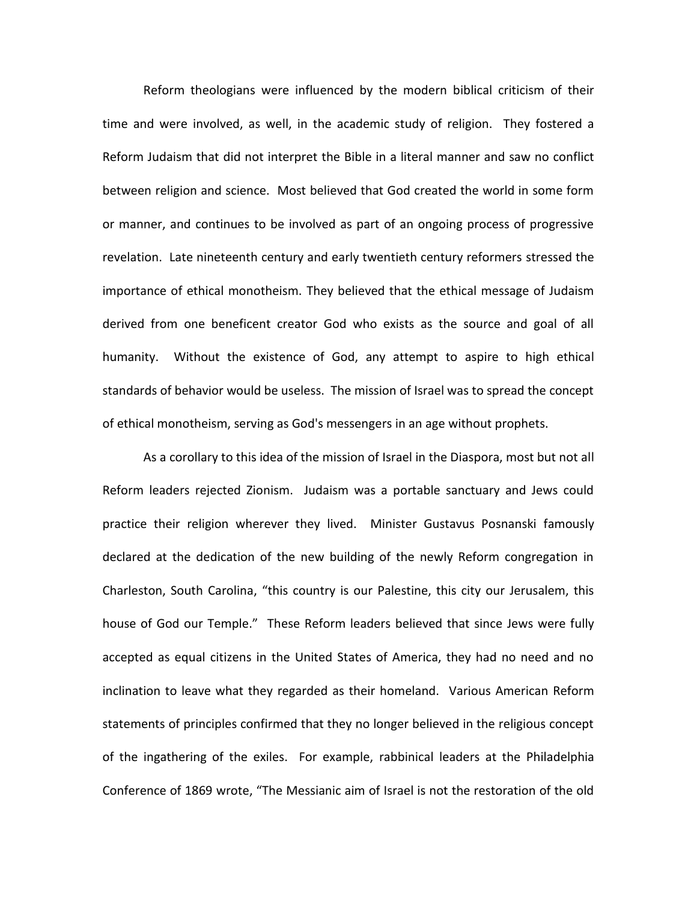Reform theologians were influenced by the modern biblical criticism of their time and were involved, as well, in the academic study of religion. They fostered a Reform Judaism that did not interpret the Bible in a literal manner and saw no conflict between religion and science. Most believed that God created the world in some form or manner, and continues to be involved as part of an ongoing process of progressive revelation. Late nineteenth century and early twentieth century reformers stressed the importance of ethical monotheism. They believed that the ethical message of Judaism derived from one beneficent creator God who exists as the source and goal of all humanity. Without the existence of God, any attempt to aspire to high ethical standards of behavior would be useless. The mission of Israel was to spread the concept of ethical monotheism, serving as God's messengers in an age without prophets.

As a corollary to this idea of the mission of Israel in the Diaspora, most but not all Reform leaders rejected Zionism. Judaism was a portable sanctuary and Jews could practice their religion wherever they lived. Minister Gustavus Posnanski famously declared at the dedication of the new building of the newly Reform congregation in Charleston, South Carolina, "this country is our Palestine, this city our Jerusalem, this house of God our Temple." These Reform leaders believed that since Jews were fully accepted as equal citizens in the United States of America, they had no need and no inclination to leave what they regarded as their homeland. Various American Reform statements of principles confirmed that they no longer believed in the religious concept of the ingathering of the exiles. For example, rabbinical leaders at the Philadelphia Conference of 1869 wrote, "The Messianic aim of Israel is not the restoration of the old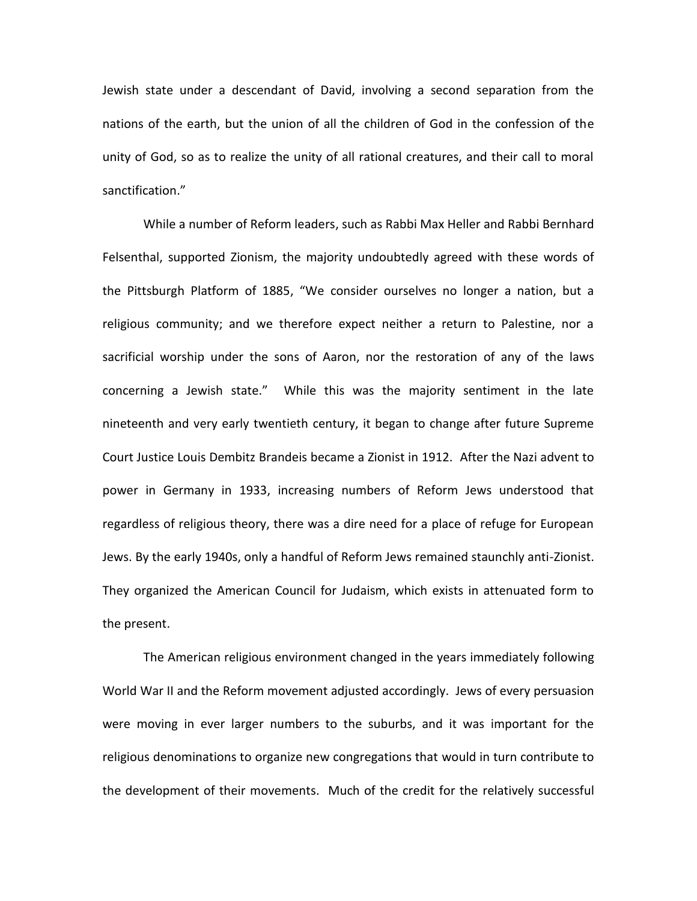Jewish state under a descendant of David, involving a second separation from the nations of the earth, but the union of all the children of God in the confession of the unity of God, so as to realize the unity of all rational creatures, and their call to moral sanctification."

While a number of Reform leaders, such as Rabbi Max Heller and Rabbi Bernhard Felsenthal, supported Zionism, the majority undoubtedly agreed with these words of the Pittsburgh Platform of 1885, "We consider ourselves no longer a nation, but a religious community; and we therefore expect neither a return to Palestine, nor a sacrificial worship under the sons of Aaron, nor the restoration of any of the laws concerning a Jewish state." While this was the majority sentiment in the late nineteenth and very early twentieth century, it began to change after future Supreme Court Justice Louis Dembitz Brandeis became a Zionist in 1912. After the Nazi advent to power in Germany in 1933, increasing numbers of Reform Jews understood that regardless of religious theory, there was a dire need for a place of refuge for European Jews. By the early 1940s, only a handful of Reform Jews remained staunchly anti-Zionist. They organized the American Council for Judaism, which exists in attenuated form to the present.

The American religious environment changed in the years immediately following World War II and the Reform movement adjusted accordingly. Jews of every persuasion were moving in ever larger numbers to the suburbs, and it was important for the religious denominations to organize new congregations that would in turn contribute to the development of their movements. Much of the credit for the relatively successful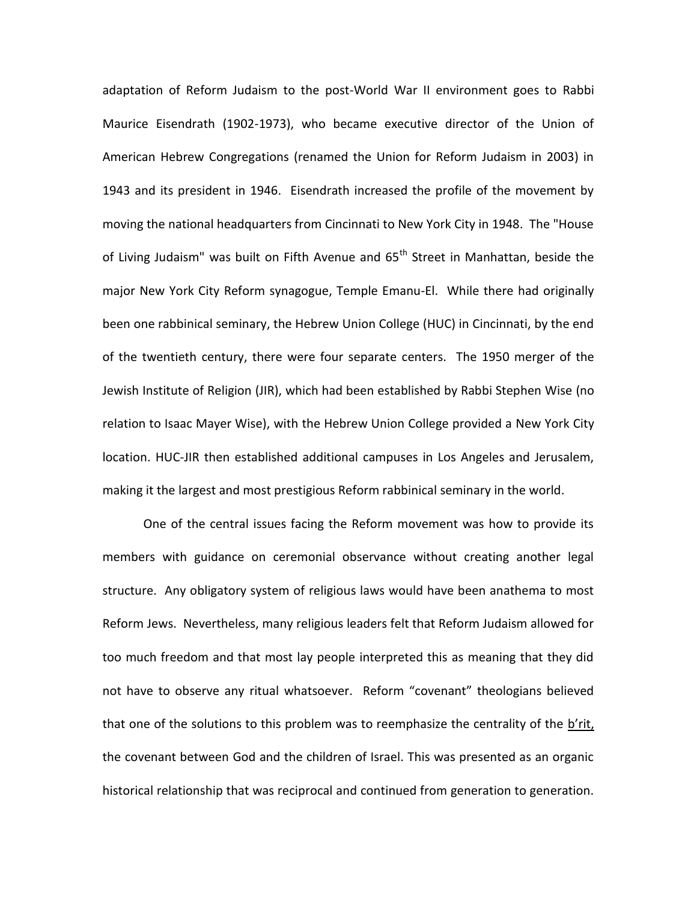adaptation of Reform Judaism to the post-World War II environment goes to Rabbi Maurice Eisendrath (1902-1973), who became executive director of the Union of American Hebrew Congregations (renamed the Union for Reform Judaism in 2003) in 1943 and its president in 1946. Eisendrath increased the profile of the movement by moving the national headquarters from Cincinnati to New York City in 1948. The "House of Living Judaism" was built on Fifth Avenue and 65<sup>th</sup> Street in Manhattan, beside the major New York City Reform synagogue, Temple Emanu-El. While there had originally been one rabbinical seminary, the Hebrew Union College (HUC) in Cincinnati, by the end of the twentieth century, there were four separate centers. The 1950 merger of the Jewish Institute of Religion (JIR), which had been established by Rabbi Stephen Wise (no relation to Isaac Mayer Wise), with the Hebrew Union College provided a New York City location. HUC-JIR then established additional campuses in Los Angeles and Jerusalem, making it the largest and most prestigious Reform rabbinical seminary in the world.

One of the central issues facing the Reform movement was how to provide its members with guidance on ceremonial observance without creating another legal structure. Any obligatory system of religious laws would have been anathema to most Reform Jews. Nevertheless, many religious leaders felt that Reform Judaism allowed for too much freedom and that most lay people interpreted this as meaning that they did not have to observe any ritual whatsoever. Reform "covenant" theologians believed that one of the solutions to this problem was to reemphasize the centrality of the b'rit, the covenant between God and the children of Israel. This was presented as an organic historical relationship that was reciprocal and continued from generation to generation.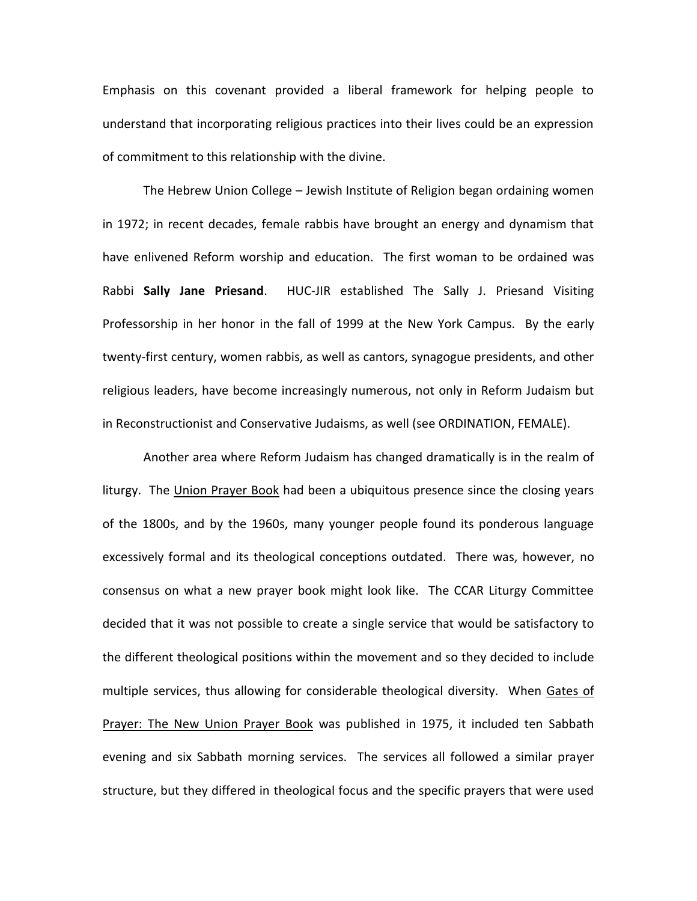Emphasis on this covenant provided a liberal framework for helping people to understand that incorporating religious practices into their lives could be an expression of commitment to this relationship with the divine.

The Hebrew Union College – Jewish Institute of Religion began ordaining women in 1972; in recent decades, female rabbis have brought an energy and dynamism that have enlivened Reform worship and education. The first woman to be ordained was Rabbi **Sally Jane Priesand**. HUC-JIR established The Sally J. Priesand Visiting Professorship in her honor in the fall of 1999 at the New York Campus. By the early twenty-first century, women rabbis, as well as cantors, synagogue presidents, and other religious leaders, have become increasingly numerous, not only in Reform Judaism but in Reconstructionist and Conservative Judaisms, as well (see ORDINATION, FEMALE).

Another area where Reform Judaism has changed dramatically is in the realm of liturgy. The Union Prayer Book had been a ubiquitous presence since the closing years of the 1800s, and by the 1960s, many younger people found its ponderous language excessively formal and its theological conceptions outdated. There was, however, no consensus on what a new prayer book might look like. The CCAR Liturgy Committee decided that it was not possible to create a single service that would be satisfactory to the different theological positions within the movement and so they decided to include multiple services, thus allowing for considerable theological diversity. When Gates of Prayer: The New Union Prayer Book was published in 1975, it included ten Sabbath evening and six Sabbath morning services. The services all followed a similar prayer structure, but they differed in theological focus and the specific prayers that were used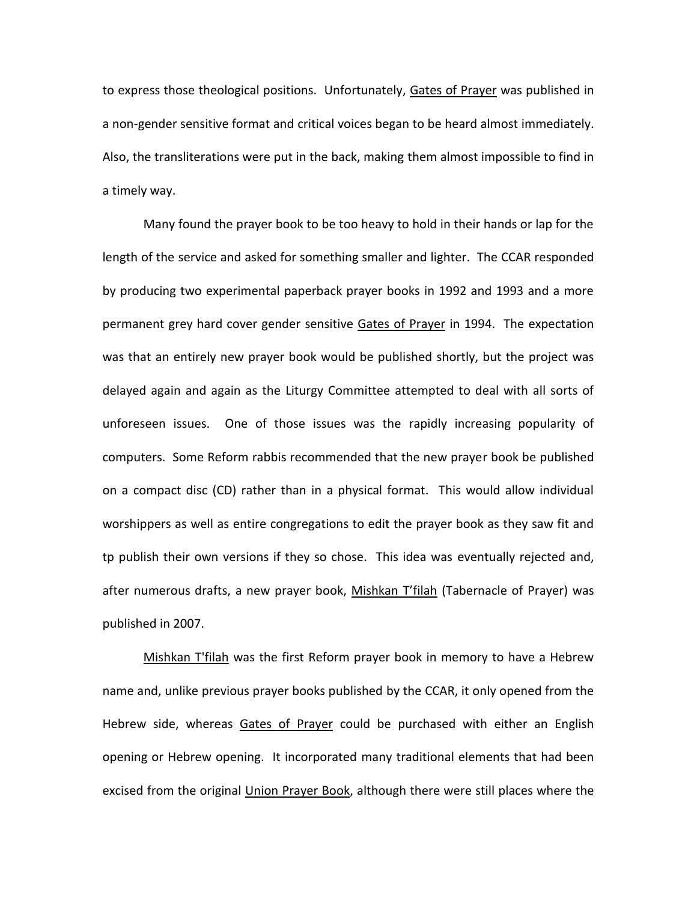to express those theological positions. Unfortunately, Gates of Prayer was published in a non-gender sensitive format and critical voices began to be heard almost immediately. Also, the transliterations were put in the back, making them almost impossible to find in a timely way.

Many found the prayer book to be too heavy to hold in their hands or lap for the length of the service and asked for something smaller and lighter. The CCAR responded by producing two experimental paperback prayer books in 1992 and 1993 and a more permanent grey hard cover gender sensitive Gates of Prayer in 1994. The expectation was that an entirely new prayer book would be published shortly, but the project was delayed again and again as the Liturgy Committee attempted to deal with all sorts of unforeseen issues. One of those issues was the rapidly increasing popularity of computers. Some Reform rabbis recommended that the new prayer book be published on a compact disc (CD) rather than in a physical format. This would allow individual worshippers as well as entire congregations to edit the prayer book as they saw fit and tp publish their own versions if they so chose. This idea was eventually rejected and, after numerous drafts, a new prayer book, Mishkan T'filah (Tabernacle of Prayer) was published in 2007.

Mishkan T'filah was the first Reform prayer book in memory to have a Hebrew name and, unlike previous prayer books published by the CCAR, it only opened from the Hebrew side, whereas Gates of Prayer could be purchased with either an English opening or Hebrew opening. It incorporated many traditional elements that had been excised from the original Union Prayer Book, although there were still places where the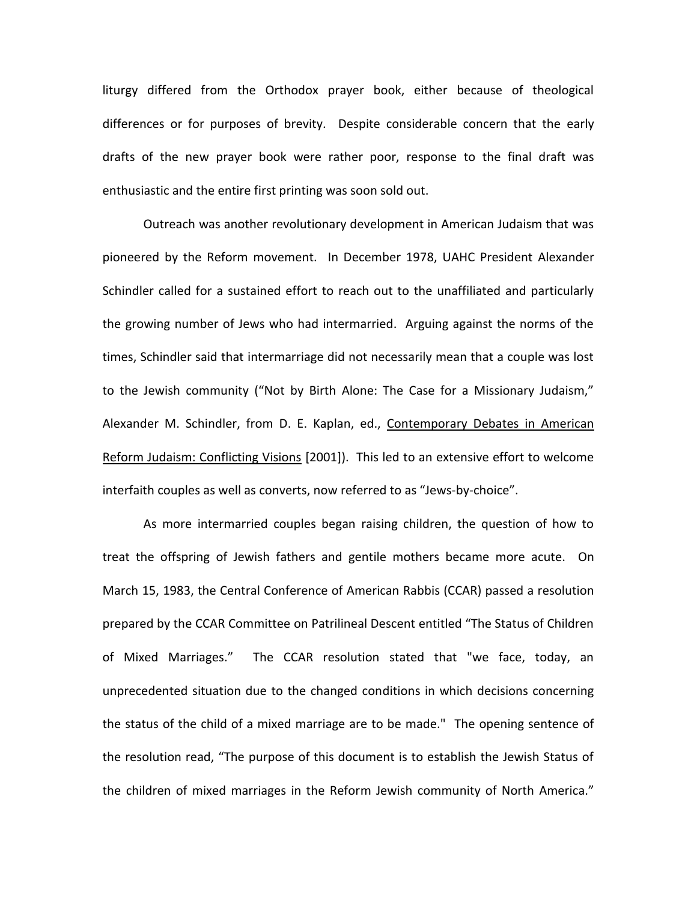liturgy differed from the Orthodox prayer book, either because of theological differences or for purposes of brevity. Despite considerable concern that the early drafts of the new prayer book were rather poor, response to the final draft was enthusiastic and the entire first printing was soon sold out.

Outreach was another revolutionary development in American Judaism that was pioneered by the Reform movement. In December 1978, UAHC President Alexander Schindler called for a sustained effort to reach out to the unaffiliated and particularly the growing number of Jews who had intermarried. Arguing against the norms of the times, Schindler said that intermarriage did not necessarily mean that a couple was lost to the Jewish community ("Not by Birth Alone: The Case for a Missionary Judaism," Alexander M. Schindler, from D. E. Kaplan, ed., Contemporary Debates in American Reform Judaism: Conflicting Visions [2001]). This led to an extensive effort to welcome interfaith couples as well as converts, now referred to as "Jews-by-choice".

As more intermarried couples began raising children, the question of how to treat the offspring of Jewish fathers and gentile mothers became more acute. On March 15, 1983, the Central Conference of American Rabbis (CCAR) passed a resolution prepared by the CCAR Committee on Patrilineal Descent entitled "The Status of Children of Mixed Marriages." The CCAR resolution stated that "we face, today, an unprecedented situation due to the changed conditions in which decisions concerning the status of the child of a mixed marriage are to be made." The opening sentence of the resolution read, "The purpose of this document is to establish the Jewish Status of the children of mixed marriages in the Reform Jewish community of North America."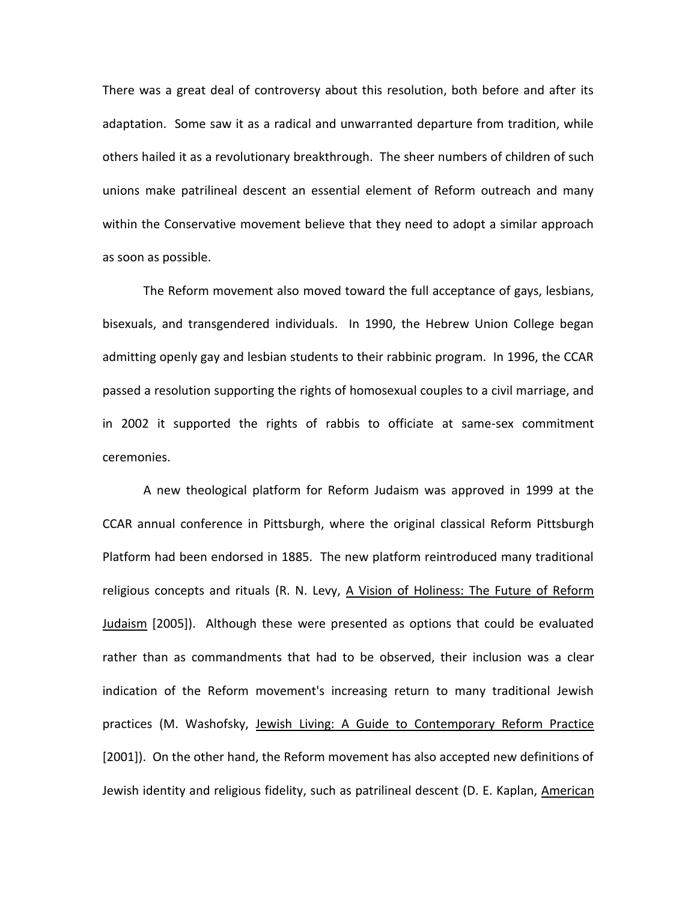There was a great deal of controversy about this resolution, both before and after its adaptation. Some saw it as a radical and unwarranted departure from tradition, while others hailed it as a revolutionary breakthrough. The sheer numbers of children of such unions make patrilineal descent an essential element of Reform outreach and many within the Conservative movement believe that they need to adopt a similar approach as soon as possible.

The Reform movement also moved toward the full acceptance of gays, lesbians, bisexuals, and transgendered individuals. In 1990, the Hebrew Union College began admitting openly gay and lesbian students to their rabbinic program. In 1996, the CCAR passed a resolution supporting the rights of homosexual couples to a civil marriage, and in 2002 it supported the rights of rabbis to officiate at same-sex commitment ceremonies.

A new theological platform for Reform Judaism was approved in 1999 at the CCAR annual conference in Pittsburgh, where the original classical Reform Pittsburgh Platform had been endorsed in 1885. The new platform reintroduced many traditional religious concepts and rituals (R. N. Levy, A Vision of Holiness: The Future of Reform Judaism [2005]). Although these were presented as options that could be evaluated rather than as commandments that had to be observed, their inclusion was a clear indication of the Reform movement's increasing return to many traditional Jewish practices (M. Washofsky, Jewish Living: A Guide to Contemporary Reform Practice [2001]). On the other hand, the Reform movement has also accepted new definitions of Jewish identity and religious fidelity, such as patrilineal descent (D. E. Kaplan, American